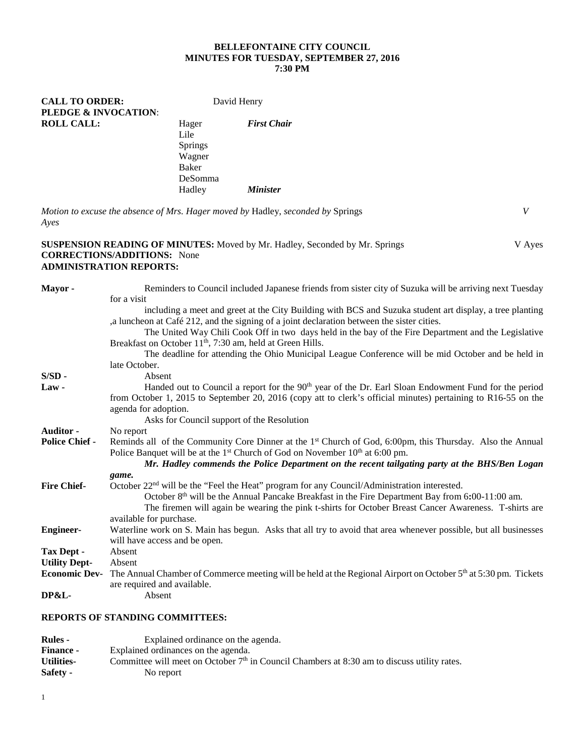### **BELLEFONTAINE CITY COUNCIL MINUTES FOR TUESDAY, SEPTEMBER 27, 2016 7:30 PM**

| <b>CALL TO ORDER:</b><br>PLEDGE & INVOCATION: |                                                        | David Henry        |
|-----------------------------------------------|--------------------------------------------------------|--------------------|
| <b>ROLL CALL:</b>                             | Hager<br>Lile<br>Springs<br>Wagner<br>Baker<br>DeSomma | <b>First Chair</b> |
|                                               | Hadley                                                 | <b>Minister</b>    |

*Motion to excuse the absence of Mrs. Hager moved by* Hadley, *seconded by* Springs *V Ayes*

## **SUSPENSION READING OF MINUTES:** Moved by Mr. Hadley, Seconded by Mr. Springs V Ayes **CORRECTIONS/ADDITIONS:** None **ADMINISTRATION REPORTS:**

| Mayor -               | Reminders to Council included Japanese friends from sister city of Suzuka will be arriving next Tuesday                                                                                                |
|-----------------------|--------------------------------------------------------------------------------------------------------------------------------------------------------------------------------------------------------|
|                       | for a visit                                                                                                                                                                                            |
|                       | including a meet and greet at the City Building with BCS and Suzuka student art display, a tree planting<br>,a luncheon at Café 212, and the signing of a joint declaration between the sister cities. |
|                       | The United Way Chili Cook Off in two days held in the bay of the Fire Department and the Legislative                                                                                                   |
|                       | Breakfast on October 11 <sup>th</sup> , 7:30 am, held at Green Hills.                                                                                                                                  |
|                       | The deadline for attending the Ohio Municipal League Conference will be mid October and be held in                                                                                                     |
|                       | late October.                                                                                                                                                                                          |
| $S/SD -$              | Absent                                                                                                                                                                                                 |
| Law -                 | Handed out to Council a report for the 90 <sup>th</sup> year of the Dr. Earl Sloan Endowment Fund for the period                                                                                       |
|                       | from October 1, 2015 to September 20, 2016 (copy att to clerk's official minutes) pertaining to R16-55 on the                                                                                          |
|                       | agenda for adoption.                                                                                                                                                                                   |
|                       | Asks for Council support of the Resolution                                                                                                                                                             |
| <b>Auditor -</b>      | No report                                                                                                                                                                                              |
| <b>Police Chief -</b> | Reminds all of the Community Core Dinner at the 1 <sup>st</sup> Church of God, 6:00pm, this Thursday. Also the Annual                                                                                  |
|                       | Police Banquet will be at the 1 <sup>st</sup> Church of God on November 10 <sup>th</sup> at 6:00 pm.                                                                                                   |
|                       | Mr. Hadley commends the Police Department on the recent tailgating party at the BHS/Ben Logan                                                                                                          |
|                       | game.                                                                                                                                                                                                  |
| <b>Fire Chief-</b>    | October 22 <sup>nd</sup> will be the "Feel the Heat" program for any Council/Administration interested.                                                                                                |
|                       | October 8th will be the Annual Pancake Breakfast in the Fire Department Bay from 6:00-11:00 am.                                                                                                        |
|                       | The firemen will again be wearing the pink t-shirts for October Breast Cancer Awareness. T-shirts are                                                                                                  |
|                       | available for purchase.                                                                                                                                                                                |
| <b>Engineer-</b>      | Waterline work on S. Main has begun. Asks that all try to avoid that area whenever possible, but all businesses                                                                                        |
|                       | will have access and be open.                                                                                                                                                                          |
| Tax Dept -            | Absent                                                                                                                                                                                                 |
| <b>Utility Dept-</b>  | Absent                                                                                                                                                                                                 |
| <b>Economic Dev-</b>  | The Annual Chamber of Commerce meeting will be held at the Regional Airport on October $5th$ at 5:30 pm. Tickets                                                                                       |
|                       | are required and available.                                                                                                                                                                            |
| DP&L-                 | Absent                                                                                                                                                                                                 |

# **REPORTS OF STANDING COMMITTEES:**

| <b>Rules -</b>    | Explained ordinance on the agenda.                                                            |
|-------------------|-----------------------------------------------------------------------------------------------|
| <b>Finance -</b>  | Explained ordinances on the agenda.                                                           |
| <b>Utilities-</b> | Committee will meet on October $7th$ in Council Chambers at 8:30 am to discuss utility rates. |
| Safety -          | No report                                                                                     |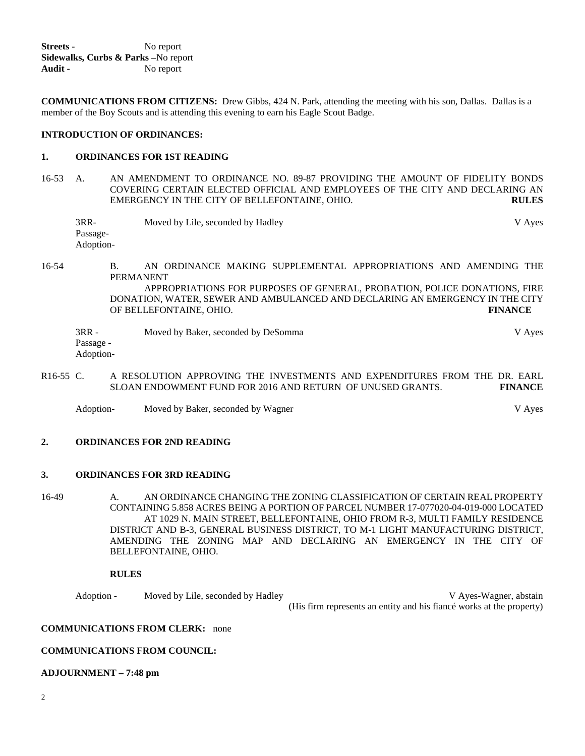**COMMUNICATIONS FROM CITIZENS:** Drew Gibbs, 424 N. Park, attending the meeting with his son, Dallas. Dallas is a member of the Boy Scouts and is attending this evening to earn his Eagle Scout Badge.

#### **INTRODUCTION OF ORDINANCES:**

#### **1. ORDINANCES FOR 1ST READING**

16-53 A. AN AMENDMENT TO ORDINANCE NO. 89-87 PROVIDING THE AMOUNT OF FIDELITY BONDS COVERING CERTAIN ELECTED OFFICIAL AND EMPLOYEES OF THE CITY AND DECLARING AN EMERGENCY IN THE CITY OF BELLEFONTAINE. OHIO. EMERGENCY IN THE CITY OF BELLEFONTAINE, OHIO.

| 3RR-      | Moved by Lile, seconded by Hadley | V Ayes |
|-----------|-----------------------------------|--------|
| Passage-  |                                   |        |
| Adoption- |                                   |        |

16-54 B. AN ORDINANCE MAKING SUPPLEMENTAL APPROPRIATIONS AND AMENDING THE PERMANENT APPROPRIATIONS FOR PURPOSES OF GENERAL, PROBATION, POLICE DONATIONS, FIRE DONATION, WATER, SEWER AND AMBULANCED AND DECLARING AN EMERGENCY IN THE CITY OF BELLEFONTAINE, OHIO. **FINANCE**

| $3RR -$   | Moved by Baker, seconded by DeSomma | V Ayes |
|-----------|-------------------------------------|--------|
| Passage - |                                     |        |
| Adoption- |                                     |        |

R16-55 C. A RESOLUTION APPROVING THE INVESTMENTS AND EXPENDITURES FROM THE DR. EARL SLOAN ENDOWMENT FUND FOR 2016 AND RETURN OF UNUSED GRANTS. **FINANCE**

Adoption- Moved by Baker, seconded by Wagner and a second by Wagner V Ayes

## **2. ORDINANCES FOR 2ND READING**

#### **3. ORDINANCES FOR 3RD READING**

16-49 A. AN ORDINANCE CHANGING THE ZONING CLASSIFICATION OF CERTAIN REAL PROPERTY CONTAINING 5.858 ACRES BEING A PORTION OF PARCEL NUMBER 17-077020-04-019-000 LOCATED AT 1029 N. MAIN STREET, BELLEFONTAINE, OHIO FROM R-3, MULTI FAMILY RESIDENCE DISTRICT AND B-3, GENERAL BUSINESS DISTRICT, TO M-1 LIGHT MANUFACTURING DISTRICT, AMENDING THE ZONING MAP AND DECLARING AN EMERGENCY IN THE CITY OF BELLEFONTAINE, OHIO.

#### **RULES**

Adoption - Moved by Lile, seconded by Hadley V Ayes-Wagner, abstain (His firm represents an entity and his fiancé works at the property)

#### **COMMUNICATIONS FROM CLERK:** none

## **COMMUNICATIONS FROM COUNCIL:**

#### **ADJOURNMENT – 7:48 pm**